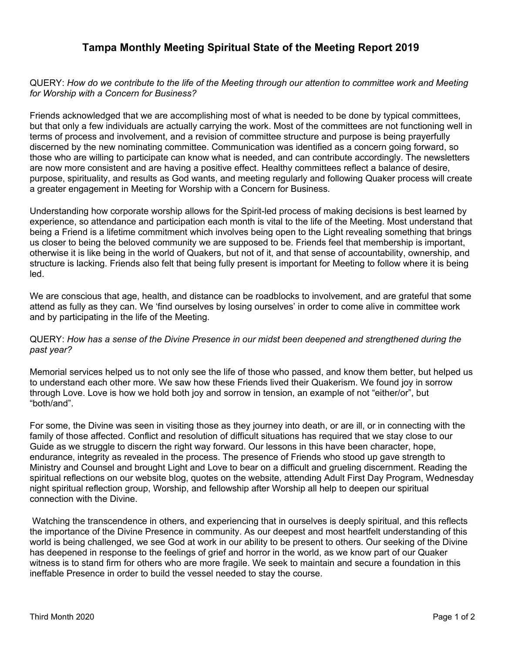## **Tampa Monthly Meeting Spiritual State of the Meeting Report 2019**

## QUERY: *How do we contribute to the life of the Meeting through our attention to committee work and Meeting for Worship with a Concern for Business?*

Friends acknowledged that we are accomplishing most of what is needed to be done by typical committees, but that only a few individuals are actually carrying the work. Most of the committees are not functioning well in terms of process and involvement, and a revision of committee structure and purpose is being prayerfully discerned by the new nominating committee. Communication was identified as a concern going forward, so those who are willing to participate can know what is needed, and can contribute accordingly. The newsletters are now more consistent and are having a positive effect. Healthy committees reflect a balance of desire, purpose, spirituality, and results as God wants, and meeting regularly and following Quaker process will create a greater engagement in Meeting for Worship with a Concern for Business.

Understanding how corporate worship allows for the Spirit-led process of making decisions is best learned by experience, so attendance and participation each month is vital to the life of the Meeting. Most understand that being a Friend is a lifetime commitment which involves being open to the Light revealing something that brings us closer to being the beloved community we are supposed to be. Friends feel that membership is important, otherwise it is like being in the world of Quakers, but not of it, and that sense of accountability, ownership, and structure is lacking. Friends also felt that being fully present is important for Meeting to follow where it is being led.

We are conscious that age, health, and distance can be roadblocks to involvement, and are grateful that some attend as fully as they can. We 'find ourselves by losing ourselves' in order to come alive in committee work and by participating in the life of the Meeting.

## QUERY: *How has a sense of the Divine Presence in our midst been deepened and strengthened during the past year?*

Memorial services helped us to not only see the life of those who passed, and know them better, but helped us to understand each other more. We saw how these Friends lived their Quakerism. We found joy in sorrow through Love. Love is how we hold both joy and sorrow in tension, an example of not "either/or", but "both/and".

For some, the Divine was seen in visiting those as they journey into death, or are ill, or in connecting with the family of those affected. Conflict and resolution of difficult situations has required that we stay close to our Guide as we struggle to discern the right way forward. Our lessons in this have been character, hope, endurance, integrity as revealed in the process. The presence of Friends who stood up gave strength to Ministry and Counsel and brought Light and Love to bear on a difficult and grueling discernment. Reading the spiritual reflections on our website blog, quotes on the website, attending Adult First Day Program, Wednesday night spiritual reflection group, Worship, and fellowship after Worship all help to deepen our spiritual connection with the Divine.

 Watching the transcendence in others, and experiencing that in ourselves is deeply spiritual, and this reflects the importance of the Divine Presence in community. As our deepest and most heartfelt understanding of this world is being challenged, we see God at work in our ability to be present to others. Our seeking of the Divine has deepened in response to the feelings of grief and horror in the world, as we know part of our Quaker witness is to stand firm for others who are more fragile. We seek to maintain and secure a foundation in this ineffable Presence in order to build the vessel needed to stay the course.